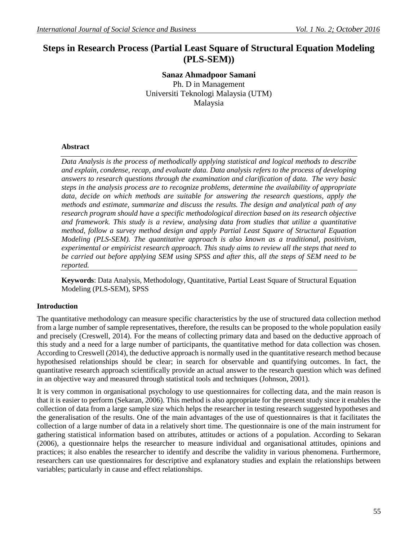# **Steps in Research Process (Partial Least Square of Structural Equation Modeling (PLS-SEM))**

**Sanaz Ahmadpoor Samani** Ph. D in Management Universiti Teknologi Malaysia (UTM) Malaysia

#### **Abstract**

*Data Analysis is the process of methodically applying statistical and logical methods to describe and explain, condense, recap, and evaluate data. Data analysis refers to the process of developing answers to research questions through the examination and clarification of data. The very basic steps in the analysis process are to recognize problems, determine the availability of appropriate data, decide on which methods are suitable for answering the research questions, apply the methods and estimate, summarize and discuss the results. The design and analytical path of any research program should have a specific methodological direction based on its research objective and framework. This study is a review, analysing data from studies that utilize a quantitative method, follow a survey method design and apply Partial Least Square of Structural Equation Modeling (PLS-SEM). The quantitative approach is also known as a traditional, positivism, experimental or empiricist research approach. This study aims to review all the steps that need to be carried out before applying SEM using SPSS and after this, all the steps of SEM need to be reported.* 

**Keywords**: Data Analysis, Methodology, Quantitative, Partial Least Square of Structural Equation Modeling (PLS-SEM), SPSS

#### **Introduction**

The quantitative methodology can measure specific characteristics by the use of structured data collection method from a large number of sample representatives, therefore, the results can be proposed to the whole population easily and precisely [\(Creswell, 2014\)](#page-9-0). For the means of collecting primary data and based on the deductive approach of this study and a need for a large number of participants, the quantitative method for data collection was chosen. According to [Creswell \(2014\)](#page-9-0), the deductive approach is normally used in the quantitative research method because hypothesised relationships should be clear; in search for observable and quantifying outcomes. In fact, the quantitative research approach scientifically provide an actual answer to the research question which was defined in an objective way and measured through statistical tools and techniques [\(Johnson, 2001\)](#page-10-0).

It is very common in organisational psychology to use questionnaires for collecting data, and the main reason is that it is easier to perform [\(Sekaran, 2006\)](#page-10-1). This method is also appropriate for the present study since it enables the collection of data from a large sample size which helps the researcher in testing research suggested hypotheses and the generalisation of the results. One of the main advantages of the use of questionnaires is that it facilitates the collection of a large number of data in a relatively short time. The questionnaire is one of the main instrument for gathering statistical information based on attributes, attitudes or actions of a population. According to [Sekaran](#page-10-1)  [\(2006\)](#page-10-1), a questionnaire helps the researcher to measure individual and organisational attitudes, opinions and practices; it also enables the researcher to identify and describe the validity in various phenomena. Furthermore, researchers can use questionnaires for descriptive and explanatory studies and explain the relationships between variables; particularly in cause and effect relationships.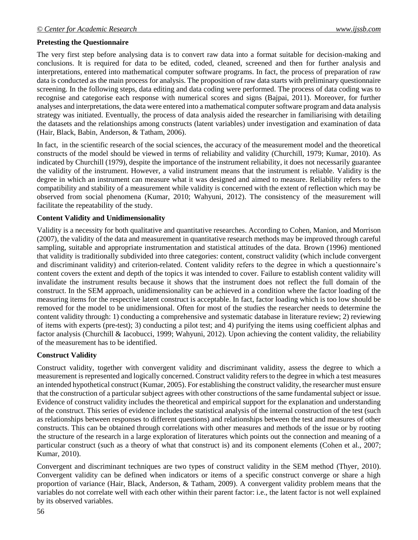# **Pretesting the Questionnaire**

The very first step before analysing data is to convert raw data into a format suitable for decision-making and conclusions. It is required for data to be edited, coded, cleaned, screened and then for further analysis and interpretations, entered into mathematical computer software programs. In fact, the process of preparation of raw data is conducted as the main process for analysis. The proposition of raw data starts with preliminary questionnaire screening. In the following steps, data editing and data coding were performed. The process of data coding was to recognise and categorise each response with numerical scores and signs [\(Bajpai, 2011\)](#page-8-0). Moreover, for further analyses and interpretations, the data were entered into a mathematical computer software program and data analysis strategy was initiated. Eventually, the process of data analysis aided the researcher in familiarising with detailing the datasets and the relationships among constructs (latent variables) under investigation and examination of data [\(Hair, Black, Babin, Anderson, & Tatham, 2006\)](#page-9-1).

In fact, in the scientific research of the social sciences, the accuracy of the measurement model and the theoretical constructs of the model should be viewed in terms of reliability and validity [\(Churchill, 1979;](#page-9-2) [Kumar, 2010\)](#page-10-2). As indicated by [Churchill \(1979\)](#page-9-2), despite the importance of the instrument reliability, it does not necessarily guarantee the validity of the instrument. However, a valid instrument means that the instrument is reliable. Validity is the degree in which an instrument can measure what it was designed and aimed to measure. Reliability refers to the compatibility and stability of a measurement while validity is concerned with the extent of reflection which may be observed from social phenomena [\(Kumar, 2010;](#page-10-2) [Wahyuni, 2012\)](#page-11-0). The consistency of the measurement will facilitate the repeatability of the study.

## **Content Validity and Unidimensionality**

Validity is a necessity for both qualitative and quantitative researches. According to [Cohen, Manion, and Morrison](#page-9-3)  [\(2007\)](#page-9-3), the validity of the data and measurement in quantitative research methods may be improved through careful sampling, suitable and appropriate instrumentation and statistical attitudes of the data. [Brown \(1996\)](#page-9-4) mentioned that validity is traditionally subdivided into three categories: content, construct validity (which include convergent and discriminant validity) and criterion-related. Content validity refers to the degree in which a questionnaire's content covers the extent and depth of the topics it was intended to cover. Failure to establish content validity will invalidate the instrument results because it shows that the instrument does not reflect the full domain of the construct. In the SEM approach, unidimensionality can be achieved in a condition where the factor loading of the measuring items for the respective latent construct is acceptable. In fact, factor loading which is too low should be removed for the model to be unidimensional. Often for most of the studies the researcher needs to determine the content validity through: 1) conducting a comprehensive and systematic database in literature review; 2) reviewing of items with experts (pre-test); 3) conducting a pilot test; and 4) purifying the items using coefficient alphas and factor analysis [\(Churchill & Iacobucci, 1999;](#page-9-5) [Wahyuni, 2012\)](#page-11-0). Upon achieving the content validity, the reliability of the measurement has to be identified.

## **Construct Validity**

Construct validity, together with convergent validity and discriminant validity, assess the degree to which a measurement is represented and logically concerned. Construct validity refers to the degree in which a test measures an intended hypothetical construct [\(Kumar, 2005\)](#page-10-3). For establishing the construct validity, the researcher must ensure that the construction of a particular subject agrees with other constructions of the same fundamental subject or issue. Evidence of construct validity includes the theoretical and empirical support for the explanation and understanding of the construct. This series of evidence includes the statistical analysis of the internal construction of the test (such as relationships between responses to different questions) and relationships between the test and measures of other constructs. This can be obtained through correlations with other measures and methods of the issue or by rooting the structure of the research in a large exploration of literatures which points out the connection and meaning of a particular construct (such as a theory of what that construct is) and its component elements [\(Cohen et al., 2007;](#page-9-3) [Kumar, 2010\)](#page-10-2).

Convergent and discriminant techniques are two types of construct validity in the SEM method [\(Thyer, 2010\)](#page-10-4). Convergent validity can be defined when indicators or items of a specific construct converge or share a high proportion of variance [\(Hair, Black, Anderson, & Tatham, 2009\)](#page-9-6). A convergent validity problem means that the variables do not correlate well with each other within their parent factor: i.e., the latent factor is not well explained by its observed variables.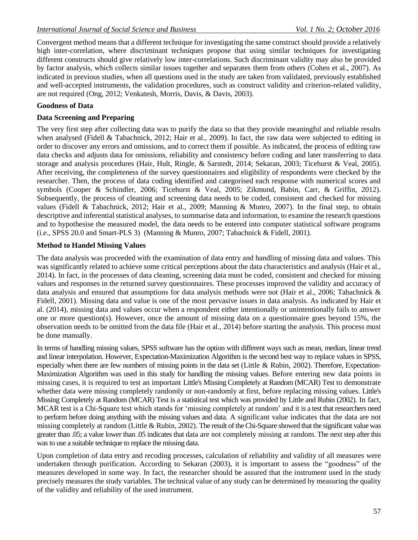Convergent method means that a different technique for investigating the same construct should provide a relatively high inter-correlation, where discriminant techniques propose that using similar techniques for investigating different constructs should give relatively low inter-correlations. Such discriminant validity may also be provided by factor analysis, which collects similar issues together and separates them from others [\(Cohen et al., 2007\)](#page-9-3). As indicated in previous studies, when all questions used in the study are taken from validated, previously established and well-accepted instruments, the validation procedures, such as construct validity and criterion-related validity, are not required [\(Ong, 2012;](#page-10-5) [Venkatesh, Morris, Davis, & Davis, 2003\)](#page-10-6).

# **Goodness of Data**

# **Data Screening and Preparing**

The very first step after collecting data was to purify the data so that they provide meaningful and reliable results when analysed [\(Fidell & Tabachnick, 2012;](#page-9-7) [Hair et al., 2009\)](#page-9-6). In fact, the raw data were subjected to editing in order to discover any errors and omissions, and to correct them if possible. As indicated, the process of editing raw data checks and adjusts data for omissions, reliability and consistency before coding and later transferring to data storage and analysis procedures [\(Hair, Hult, Ringle, & Sarstedt, 2014;](#page-9-8) [Sekaran, 2003;](#page-10-7) [Ticehurst & Veal, 2005\)](#page-10-8). After receiving, the completeness of the survey questionnaires and eligibility of respondents were checked by the researcher. Then, the process of data coding identified and categorised each response with numerical scores and symbols [\(Cooper & Schindler, 2006;](#page-9-9) [Ticehurst & Veal, 2005;](#page-10-8) [Zikmund, Babin, Carr, & Griffin, 2012\)](#page-11-1). Subsequently, the process of cleaning and screening data needs to be coded, consistent and checked for missing values [\(Fidell & Tabachnick, 2012;](#page-9-7) [Hair et al., 2009;](#page-9-6) [Manning & Munro, 2007\)](#page-10-9). In the final step, to obtain descriptive and inferential statistical analyses, to summarise data and information, to examine the research questions and to hypothesise the measured model, the data needs to be entered into computer statistical software programs (i.e., SPSS 20.0 and Smart-PLS 3) [\(Manning & Munro, 2007;](#page-10-9) [Tabachnick & Fidell, 2001\)](#page-10-10).

# **Method to Handel Missing Values**

The data analysis was proceeded with the examination of data entry and handling of missing data and values. This was significantly related to achieve some critical perceptions about the data characteristics and analysis [\(Hair et al.,](#page-9-8)  [2014\)](#page-9-8). In fact, in the processes of data cleaning, screening data must be coded, consistent and checked for missing values and responses in the returned survey questionnaires. These processes improved the validity and accuracy of data analysis and ensured that assumptions for data analysis methods were not [\(Hair et al., 2006;](#page-9-1) [Tabachnick &](#page-10-10)  [Fidell, 2001\)](#page-10-10). Missing data and value is one of the most pervasive issues in data analysis. As indicated by [Hair et](#page-9-8)  [al. \(2014\)](#page-9-8), missing data and values occur when a respondent either intentionally or unintentionally fails to answer one or more question(s). However, once the amount of missing data on a questionnaire goes beyond 15%, the observation needs to be omitted from the data file [\(Hair et al., 2014\)](#page-9-8) before starting the analysis. This process must be done manually.

In terms of handling missing values, SPSS software has the option with different ways such as mean, median, linear trend and linear interpolation. However, Expectation-Maximization Algorithm is the second best way to replace values in SPSS, especially when there are few numbers of missing points in the data set [\(Little & Rubin, 2002\)](#page-10-11). Therefore, Expectation-Maximization Algorithm was used in this study for handling the missing values. Before entering new data points in missing cases, it is required to test an important Little's Missing Completely at Random (MCAR) Test to demonstrate whether data were missing completely randomly or non-randomly at first, before replacing missing values. Little's Missing Completely at Random (MCAR) Test is a statistical test which was provided by Little and Rubin [\(2002\)](#page-10-11). In fact, MCAR test is a Chi-Square test which stands for 'missing completely at random' and it is a test that researchers need to perform before doing anything with the missing values and data. A significant value indicates that the data are not missing completely at random [\(Little & Rubin, 2002\)](#page-10-11). The result of the Chi-Square showed that the significant value was greater than .05; a value lower than .05 indicates that data are not completely missing at random. The next step after this was to use a suitable technique to replace the missing data.

Upon completion of data entry and recoding processes, calculation of reliability and validity of all measures were undertaken through purification. According to [Sekaran \(2003\)](#page-10-7), it is important to assess the "goodness" of the measures developed in some way. In fact, the researcher should be assured that the instrument used in the study precisely measures the study variables. The technical value of any study can be determined by measuring the quality of the validity and reliability of the used instrument.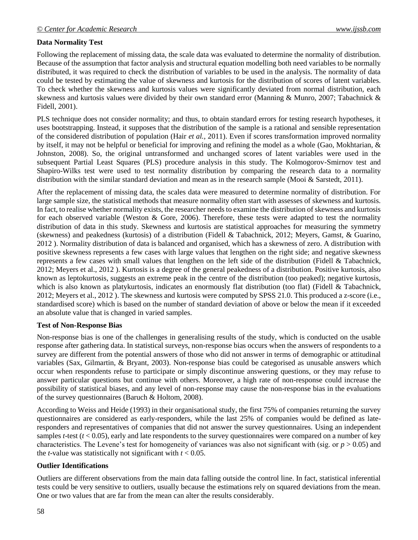# **Data Normality Test**

Following the replacement of missing data, the scale data was evaluated to determine the normality of distribution. Because of the assumption that factor analysis and structural equation modelling both need variables to be normally distributed, it was required to check the distribution of variables to be used in the analysis. The normality of data could be tested by estimating the value of skewness and kurtosis for the distribution of scores of latent variables. To check whether the skewness and kurtosis values were significantly deviated from normal distribution, each skewness and kurtosis values were divided by their own standard error [\(Manning & Munro, 2007;](#page-10-9) [Tabachnick &](#page-10-10)  [Fidell, 2001\)](#page-10-10).

PLS technique does not consider normality; and thus, to obtain standard errors for testing research hypotheses, it uses bootstrapping. Instead, it supposes that the distribution of the sample is a rational and sensible representation of the considered distribution of population (Hair *et al.,* 2011). Even if scores transformation improved normality by itself, it may not be helpful or beneficial for improving and refining the model as a whole [\(Gao, Mokhtarian, &](#page-9-10)  [Johnston, 2008\)](#page-9-10). So, the original untransformed and unchanged scores of latent variables were used in the subsequent Partial Least Squares (PLS) procedure analysis in this study. The Kolmogorov-Smirnov test and Shapiro-Wilks test were used to test normality distribution by comparing the research data to a normality distribution with the similar standard deviation and mean as in the research sample [\(Mooi & Sarstedt, 2011\)](#page-10-12).

After the replacement of missing data, the scales data were measured to determine normality of distribution. For large sample size, the statistical methods that measure normality often start with assesses of skewness and kurtosis. In fact, to realise whether normality exists, the researcher needs to examine the distribution of skewness and kurtosis for each observed variable [\(Weston & Gore, 2006\)](#page-11-2). Therefore, these tests were adapted to test the normality distribution of data in this study. Skewness and kurtosis are statistical approaches for measuring the symmetry (skewness) and peakedness (kurtosis) of a distribution [\(Fidell & Tabachnick, 2012;](#page-9-7) [Meyers, Gamst, & Guarino,](#page-10-13)  [2012 \)](#page-10-13). Normality distribution of data is balanced and organised, which has a skewness of zero. A distribution with positive skewness represents a few cases with large values that lengthen on the right side; and negative skewness represents a few cases with small values that lengthen on the left side of the distribution [\(Fidell & Tabachnick,](#page-9-7)  [2012;](#page-9-7) [Meyers et al., 2012 \)](#page-10-13). Kurtosis is a degree of the general peakedness of a distribution. Positive kurtosis, also known as leptokurtosis*,* suggests an extreme peak in the centre of the distribution (too peaked); negative kurtosis, which is also known as platykurtosis, indicates an enormously flat distribution (too flat) (Fidell & Tabachnick, [2012;](#page-9-7) [Meyers et al., 2012 \)](#page-10-13). The skewness and kurtosis were computed by SPSS 21.0. This produced a z-score (i.e., standardised score) which is based on the number of standard deviation of above or below the mean if it exceeded an absolute value that is changed in varied samples.

## **Test of Non-Response Bias**

Non-response bias is one of the challenges in generalising results of the study, which is conducted on the usable response after gathering data. In statistical surveys, non-response bias occurs when the answers of respondents to a survey are different from the potential answers of those who did not answer in terms of demographic or attitudinal variables [\(Sax, Gilmartin, & Bryant, 2003\)](#page-10-14). Non-response bias could be categorised as unusable answers which occur when respondents refuse to participate or simply discontinue answering questions, or they may refuse to answer particular questions but continue with others. Moreover, a high rate of non-response could increase the possibility of statistical biases, and any level of non-response may cause the non-response bias in the evaluations of the survey questionnaires [\(Baruch & Holtom, 2008\)](#page-8-1).

According to [Weiss and Heide \(1993\)](#page-11-3) in their organisational study, the first 75% of companies returning the survey questionnaires are considered as early-responders, while the last 25% of companies would be defined as lateresponders and representatives of companies that did not answer the survey questionnaires. Using an independent samples *t*-test ( $t$  < 0.05), early and late respondents to the survey questionnaires were compared on a number of key characteristics. The Levene's test for homogeneity of variances was also not significant with (sig. or *p* > 0.05) and the *t*-value was statistically not significant with  $t < 0.05$ .

## **Outlier Identifications**

Outliers are different observations from the main data falling outside the control line. In fact, statistical inferential tests could be very sensitive to outliers, usually because the estimations rely on squared deviations from the mean. One or two values that are far from the mean can alter the results considerably.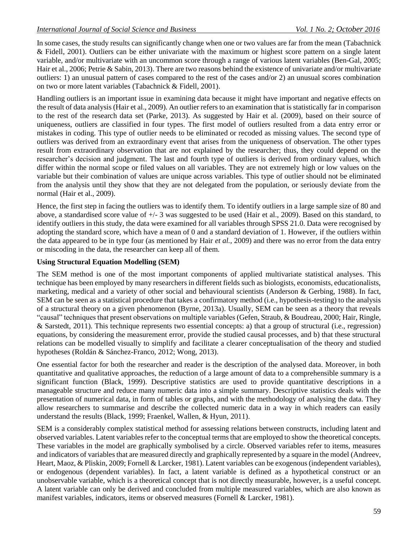In some cases, the study results can significantly change when one or two values are far from the mean [\(Tabachnick](#page-10-10)  [& Fidell, 2001\)](#page-10-10). Outliers can be either univariate with the maximum or highest score pattern on a single latent variable, and/or multivariate with an uncommon score through a range of various latent variables [\(Ben-Gal, 2005;](#page-9-11) [Hair et al., 2006;](#page-9-1) [Petrie & Sabin, 2013\)](#page-10-15). There are two reasons behind the existence of univariate and/or multivariate outliers: 1) an unusual pattern of cases compared to the rest of the cases and/or 2) an unusual scores combination on two or more latent variables [\(Tabachnick & Fidell, 2001\)](#page-10-10).

Handling outliers is an important issue in examining data because it might have important and negative effects on the result of data analysis [\(Hair et al., 2009\)](#page-9-6). An outlier refers to an examination that is statistically far in comparison to the rest of the research data set [\(Parke, 2013\)](#page-10-16). As suggested by [Hair et al. \(2009\)](#page-9-6), based on their source of uniqueness, outliers are classified in four types. The first model of outliers resulted from a data entry error or mistakes in coding. This type of outlier needs to be eliminated or recoded as missing values. The second type of outliers was derived from an extraordinary event that arises from the uniqueness of observation. The other types result from extraordinary observation that are not explained by the researcher; thus, they could depend on the researcher's decision and judgment. The last and fourth type of outliers is derived from ordinary values, which differ within the normal scope or filed values on all variables. They are not extremely high or low values on the variable but their combination of values are unique across variables. This type of outlier should not be eliminated from the analysis until they show that they are not delegated from the population, or seriously deviate from the normal [\(Hair et al., 2009\)](#page-9-6).

Hence, the first step in facing the outliers was to identify them. To identify outliers in a large sample size of 80 and above, a standardised score value of  $+/-3$  was suggested to be used [\(Hair et al., 2009\)](#page-9-6). Based on this standard, to identify outliers in this study, the data were examined for all variables through SPSS 21.0. Data were recognised by adopting the standard score, which have a mean of 0 and a standard deviation of 1. However, if the outliers within the data appeared to be in type four (as mentioned by Hair *et al.,* 2009) and there was no error from the data entry or miscoding in the data, the researcher can keep all of them.

#### **Using Structural Equation Modelling (SEM)**

The SEM method is one of the most important components of applied multivariate statistical analyses. This technique has been employed by many researchers in different fields such as biologists, economists, educationalists, marketing, medical and a variety of other social and behavioural scientists [\(Anderson & Gerbing, 1988\)](#page-8-2). In fact, SEM can be seen as a statistical procedure that takes a confirmatory method (i.e., hypothesis-testing) to the analysis of a structural theory on a given phenomenon [\(Byrne, 2013a\)](#page-9-12). Usually, SEM can be seen as a theory that reveals "causal" techniques that present observations on multiple variables [\(Gefen, Straub, & Boudreau, 2000;](#page-9-13) [Hair, Ringle,](#page-9-14)  [& Sarstedt, 2011\)](#page-9-14). This technique represents two essential concepts: a) that a group of structural (i.e., regression) equations, by considering the measurement error, provide the studied causal processes, and b) that these structural relations can be modelled visually to simplify and facilitate a clearer conceptualisation of the theory and studied hypotheses [\(Roldán & Sánchez-Franco, 2012;](#page-10-17) [Wong, 2013\)](#page-11-4).

One essential factor for both the researcher and reader is the description of the analysed data. Moreover, in both quantitative and qualitative approaches, the reduction of a large amount of data to a comprehensible summary is a significant function [\(Black, 1999\)](#page-9-15). Descriptive statistics are used to provide quantitative descriptions in a manageable structure and reduce many numeric data into a simple summary. Descriptive statistics deals with the presentation of numerical data, in form of tables or graphs, and with the methodology of analysing the data. They allow researchers to summarise and describe the collected numeric data in a way in which readers can easily understand the results [\(Black, 1999;](#page-9-15) [Fraenkel, Wallen, & Hyun, 2011\)](#page-9-16).

SEM is a considerably complex statistical method for assessing relations between constructs, including latent and observed variables. Latent variables refer to the conceptual terms that are employed to show the theoretical concepts. These variables in the model are graphically symbolised by a circle. Observed variables refer to items, measures and indicators of variables that are measured directly and graphically represented by a square in the model [\(Andreev,](#page-8-3)  [Heart, Maoz, & Pliskin, 2009;](#page-8-3) [Fornell & Larcker, 1981\)](#page-9-17). Latent variables can be exogenous (independent variables), or endogenous (dependent variables). In fact, a latent variable is defined as a hypothetical construct or an unobservable variable, which is a theoretical concept that is not directly measurable, however, is a useful concept. A latent variable can only be derived and concluded from multiple measured variables, which are also known as manifest variables, indicators, items or observed measures [\(Fornell & Larcker, 1981\)](#page-9-17).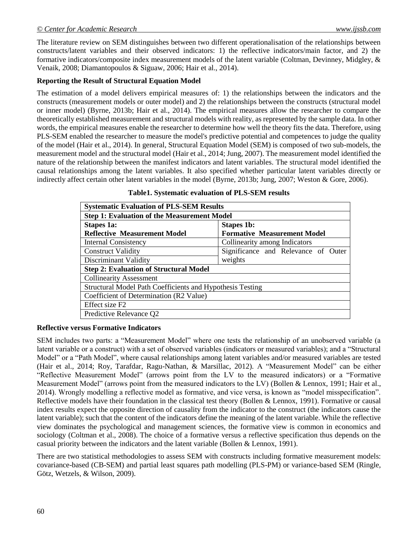The literature review on SEM distinguishes between two different operationalisation of the relationships between constructs/latent variables and their observed indicators: 1) the reflective indicators/main factor, and 2) the formative indicators/composite index measurement models of the latent variable [\(Coltman, Devinney, Midgley, &](#page-9-18)  [Venaik, 2008;](#page-9-18) [Diamantopoulos & Siguaw, 2006;](#page-9-19) [Hair et al., 2014\)](#page-9-8).

## **Reporting the Result of Structural Equation Model**

The estimation of a model delivers empirical measures of: 1) the relationships between the indicators and the constructs (measurement models or outer model) and 2) the relationships between the constructs (structural model or inner model) [\(Byrne, 2013b;](#page-9-20) [Hair et al., 2014\)](#page-9-8). The empirical measures allow the researcher to compare the theoretically established measurement and structural models with reality, as represented by the sample data. In other words, the empirical measures enable the researcher to determine how well the theory fits the data. Therefore, using PLS-SEM enabled the researcher to measure the model's predictive potential and competences to judge the quality of the model [\(Hair et al., 2014\)](#page-9-8). In general, Structural Equation Model (SEM) is composed of two sub-models, the measurement model and the structural model [\(Hair et al., 2014;](#page-9-8) [Jung, 2007\)](#page-10-18). The measurement model identified the nature of the relationship between the manifest indicators and latent variables. The structural model identified the causal relationships among the latent variables. It also specified whether particular latent variables directly or indirectly affect certain other latent variables in the model [\(Byrne, 2013b;](#page-9-20) [Jung, 2007;](#page-10-18) [Weston & Gore, 2006\)](#page-11-2).

| <b>Systematic Evaluation of PLS-SEM Results</b>           |                                     |
|-----------------------------------------------------------|-------------------------------------|
| <b>Step 1: Evaluation of the Measurement Model</b>        |                                     |
| Stapes 1a:                                                | <b>Stapes 1b:</b>                   |
| <b>Reflective Measurement Model</b>                       | <b>Formative Measurement Model</b>  |
| <b>Internal Consistency</b>                               | Collinearity among Indicators       |
| <b>Construct Validity</b>                                 | Significance and Relevance of Outer |
| Discriminant Validity                                     | weights                             |
| <b>Step 2: Evaluation of Structural Model</b>             |                                     |
| <b>Collinearity Assessment</b>                            |                                     |
| Structural Model Path Coefficients and Hypothesis Testing |                                     |
| Coefficient of Determination (R2 Value)                   |                                     |
| Effect size F <sub>2</sub>                                |                                     |
| Predictive Relevance Q2                                   |                                     |

**Table1. Systematic evaluation of PLS-SEM results**

## **Reflective versus Formative Indicators**

SEM includes two parts: a "Measurement Model" where one tests the relationship of an unobserved variable (a latent variable or a construct) with a set of observed variables (indicators or measured variables); and a "Structural Model" or a "Path Model", where causal relationships among latent variables and/or measured variables are tested [\(Hair et al., 2014;](#page-9-8) [Roy, Tarafdar, Ragu-Nathan, & Marsillac, 2012\)](#page-10-19). A "Measurement Model" can be either "Reflective Measurement Model" (arrows point from the LV to the measured indicators) or a "Formative Measurement Model" (arrows point from the measured indicators to the LV) [\(Bollen & Lennox, 1991;](#page-9-21) [Hair et al.,](#page-9-8)  [2014\)](#page-9-8). Wrongly modelling a reflective model as formative, and vice versa, is known as "model misspecification". Reflective models have their foundation in the classical test theory [\(Bollen & Lennox, 1991\)](#page-9-21). Formative or causal index results expect the opposite direction of causality from the indicator to the construct (the indicators cause the latent variable); such that the content of the indicators define the meaning of the latent variable. While the reflective view dominates the psychological and management sciences, the formative view is common in economics and sociology [\(Coltman et al., 2008\)](#page-9-18). The choice of a formative versus a reflective specification thus depends on the casual priority between the indicators and the latent variable [\(Bollen & Lennox, 1991\)](#page-9-21).

There are two statistical methodologies to assess SEM with constructs including formative measurement models: covariance-based (CB-SEM) and partial least squares path modelling (PLS-PM) or variance-based SEM [\(Ringle,](#page-10-20)  [Götz, Wetzels, & Wilson, 2009\)](#page-10-20).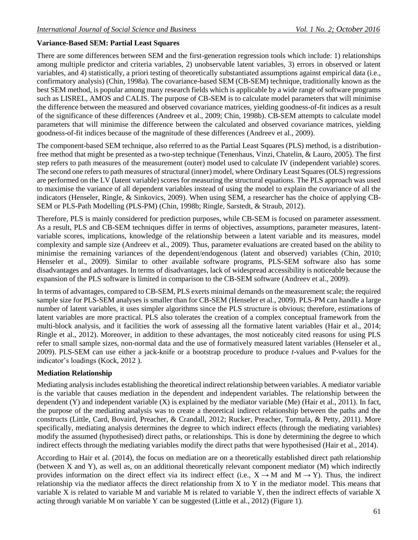# **Variance-Based SEM: Partial Least Squares**

There are some differences between SEM and the first-generation regression tools which include: 1) relationships among multiple predictor and criteria variables, 2) unobservable latent variables, 3) errors in observed or latent variables, and 4) statistically, a priori testing of theoretically substantiated assumptions against empirical data (i.e., confirmatory analysis) [\(Chin, 1998a\)](#page-9-22). The covariance-based SEM (CB-SEM) technique, traditionally known as the best SEM method, is popular among many research fields which is applicable by a wide range of software programs such as LISREL, AMOS and CALIS. The purpose of CB-SEM is to calculate model parameters that will minimise the difference between the measured and observed covariance matrices, yielding goodness-of-fit indices as a result of the significance of these differences [\(Andreev et](#page-8-3) al., 2009; [Chin, 1998b\)](#page-9-23). CB-SEM attempts to calculate model parameters that will minimise the difference between the calculated and observed covariance matrices, yielding goodness-of-fit indices because of the magnitude of these differences [\(Andreev et al., 2009\)](#page-8-3).

The component-based SEM technique, also referred to as the Partial Least Squares (PLS) method, is a distributionfree method that might be presented as a two-step technique [\(Tenenhaus, Vinzi, Chatelin, & Lauro, 2005\)](#page-10-21). The first step refers to path measures of the measurement (outer) model used to calculate IV (independent variable) scores. The second one refers to path measures of structural (inner) model, where Ordinary Least Squares (OLS) regressions are performed on the LV (latent variable) scores for measuring the structural equations. The PLS approach was used to maximise the variance of all dependent variables instead of using the model to explain the covariance of all the indicators [\(Henseler, Ringle, & Sinkovics, 2009\)](#page-9-24). When using SEM, a researcher has the choice of applying CB-SEM or PLS-Path Modelling (PLS-PM) [\(Chin, 1998b;](#page-9-23) [Ringle, Sarstedt, & Straub, 2012\)](#page-10-22).

Therefore, PLS is mainly considered for prediction purposes, while CB-SEM is focused on parameter assessment. As a result, PLS and CB-SEM techniques differ in terms of objectives, assumptions, parameter measures, latentvariable scores, implications, knowledge of the relationship between a latent variable and its measures, model complexity and sample size [\(Andreev et al., 2009\)](#page-8-3). Thus, parameter evaluations are created based on the ability to minimise the remaining variances of the dependent/endogenous (latent and observed) variables [\(Chin, 2010;](#page-9-25) [Henseler et al., 2009\)](#page-9-24). Similar to other available software programs, PLS-SEM software also has some disadvantages and advantages. In terms of disadvantages, lack of widespread accessibility is noticeable because the expansion of the PLS software is limited in comparison to the CB-SEM software [\(Andreev et al., 2009\)](#page-8-3).

In terms of advantages, compared to CB-SEM, PLS exerts minimal demands on the measurement scale; the required sample size for PLS-SEM analyses is smaller than for CB-SEM [\(Henseler et al., 2009\)](#page-9-24). PLS-PM can handle a large number of latent variables, it uses simpler algorithms since the PLS structure is obvious; therefore, estimations of latent variables are more practical. PLS also tolerates the creation of a complex conceptual framework from the multi-block analysis, and it facilities the work of assessing all the formative latent variables [\(Hair et al., 2014;](#page-9-8) [Ringle et al., 2012\)](#page-10-22). Moreover, in addition to these advantages, the most noticeably cited reasons for using PLS refer to small sample sizes, non-normal data and the use of formatively measured latent variables [\(Henseler et al.,](#page-9-24)  [2009\)](#page-9-24). PLS-SEM can use either a jack-knife or a bootstrap procedure to produce *t*-values and P-values for the indicator's loadings [\(Kock, 2012 \)](#page-10-23).

## **Mediation Relationship**

Mediating analysis includes establishing the theoretical indirect relationship between variables. A mediator variable is the variable that causes mediation in the dependent and independent variables. The relationship between the dependent (Y) and independent variable  $(X)$  is explained by the mediator variable (Me) [\(Hair et al., 2011\)](#page-9-14). In fact, the purpose of the mediating analysis was to create a theoretical indirect relationship between the paths and the constructs [\(Little, Card, Bovaird, Preacher, & Crandall, 2012;](#page-10-24) [Rucker, Preacher, Tormala, & Petty, 2011\)](#page-10-25). More specifically, mediating analysis determines the degree to which indirect effects (through the mediating variables) modify the assumed (hypothesised) direct paths, or relationships. This is done by determining the degree to which indirect effects through the mediating variables modify the direct paths that were hypothesised [\(Hair et al., 2014\)](#page-9-8).

According to [Hair et al. \(2014\)](#page-9-8), the focus on mediation are on a theoretically established direct path relationship (between X and Y), as well as, on an additional theoretically relevant component mediator (M) which indirectly provides information on the direct effect via its indirect effect (i.e.,  $X \rightarrow M$  and  $M \rightarrow Y$ ). Thus, the indirect relationship via the mediator affects the direct relationship from X to Y in the mediator model. This means that variable X is related to variable M and variable M is related to variable Y, then the indirect effects of variable X acting through variable M on variable Y can be suggested [\(Little et al., 2012\)](#page-10-24) (Figure 1).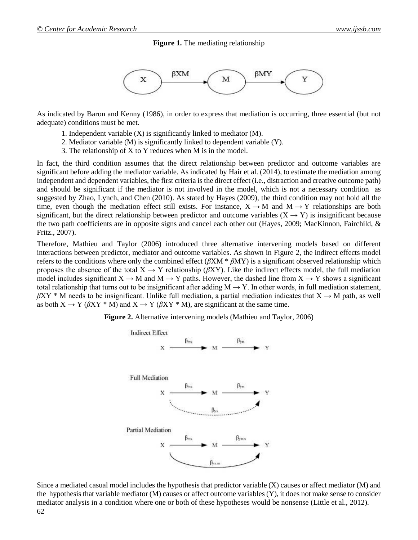**Figure 1.** The mediating relationship



As indicated by [Baron and Kenny \(1986\)](#page-8-4), in order to express that mediation is occurring, three essential (but not adequate) conditions must be met.

- 1. Independent variable (X) is significantly linked to mediator (M).
- 2. Mediator variable (M) is significantly linked to dependent variable (Y).
- 3. The relationship of X to Y reduces when M is in the model.

In fact, the third condition assumes that the direct relationship between predictor and outcome variables are significant before adding the mediator variable. As indicated by [Hair et al. \(2014\)](#page-9-8), to estimate the mediation among independent and dependent variables, the first criteria is the direct effect (i.e., distraction and creative outcome path) and should be significant if the mediator is not involved in the model, which is not a necessary condition as suggested by [Zhao, Lynch, and Chen \(2010\)](#page-11-5). As stated by [Hayes \(2009\)](#page-9-26), the third condition may not hold all the time, even though the mediation effect still exists. For instance,  $X \rightarrow M$  and  $M \rightarrow Y$  relationships are both significant, but the direct relationship between predictor and outcome variables ( $X \rightarrow Y$ ) is insignificant because the two path coefficients are in opposite signs and cancel each other out [\(Hayes, 2009;](#page-9-26) [MacKinnon, Fairchild, &](#page-10-26)  [Fritz., 2007\)](#page-10-26).

Therefore, [Mathieu and Taylor \(2006\)](#page-10-27) introduced three alternative intervening models based on different interactions between predictor, mediator and outcome variables. As shown in Figure 2, the indirect effects model refers to the conditions where only the combined effect (*β*XM \* *β*MY) is a significant observed relationship which proposes the absence of the total  $X \to Y$  relationship ( $\beta XY$ ). Like the indirect effects model, the full mediation model includes significant  $X \to M$  and  $M \to Y$  paths. However, the dashed line from  $X \to Y$  shows a significant total relationship that turns out to be insignificant after adding  $M \rightarrow Y$ . In other words, in full mediation statement,  $\beta XY$  \* M needs to be insignificant. Unlike full mediation, a partial mediation indicates that  $X \to M$  path, as well as both  $X \to Y$  ( $\beta XY * M$ ) and  $X \to Y$  ( $\beta XY * M$ ), are significant at the same time.

**Figure 2.** Alternative intervening models (Mathieu and Taylor, 2006)



Since a mediated casual model includes the hypothesis that predictor variable (X) causes or affect mediator (M) and the hypothesis that variable mediator (M) causes or affect outcome variables (Y), it does not make sense to consider mediator analysis in a condition where one or both of these hypotheses would be nonsense [\(Little et al., 2012\)](#page-10-24).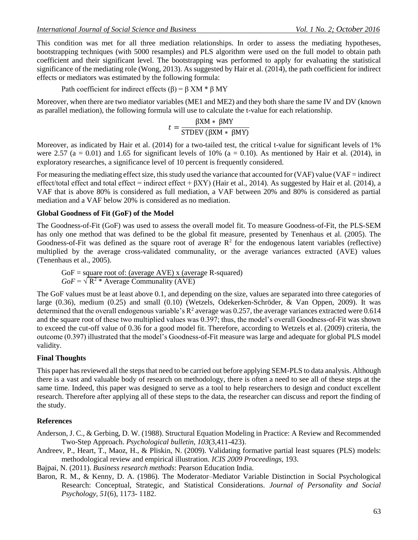This condition was met for all three mediation relationships. In order to assess the mediating hypotheses, bootstrapping techniques (with 5000 resamples) and PLS algorithm were used on the full model to obtain path coefficient and their significant level. The bootstrapping was performed to apply for evaluating the statistical significance of the mediating role [\(Wong, 2013\)](#page-11-4). As suggested by [Hair et al. \(2014\)](#page-9-8), the path coefficient for indirect effects or mediators was estimated by the following formula:

#### Path coefficient for indirect effects  $(\beta) = \beta$  XM \*  $\beta$  MY

Moreover, when there are two mediator variables (ME1 and ME2) and they both share the same IV and DV (known as parallel mediation), the following formula will use to calculate the t-value for each relationship.

$$
t = \frac{\beta \text{XM} * \beta \text{MY}}{\text{STDEV} (\beta \text{XM} * \beta \text{MY})}
$$

Moreover, as indicated by [Hair et al. \(2014\)](#page-9-8) for a two-tailed test, the critical t-value for significant levels of 1% were 2.57 (a = 0.01) and 1.65 for significant levels of 10% (a = 0.10). As mentioned by [Hair et al. \(2014\)](#page-9-8), in exploratory researches, a significance level of 10 percent is frequently considered.

For measuring the mediating effect size, this study used the variance that accounted for (VAF) value (VAF = indirect effect/total effect and total effect = indirect effect +  $\beta XY$ ) [\(Hair et al., 2014\)](#page-9-8). As suggested by [Hair et al. \(2014\)](#page-9-8), a VAF that is above 80% is considered as full mediation, a VAF between 20% and 80% is considered as partial mediation and a VAF below 20% is considered as no mediation.

#### **Global Goodness of Fit (GoF) of the Model**

The Goodness-of-Fit (GoF) was used to assess the overall model fit. To measure Goodness-of-Fit, the PLS-SEM has only one method that was defined to be the global fit measure, presented by [Tenenhaus et al. \(2005\)](#page-10-21). The Goodness-of-Fit was defined as the square root of average  $\mathbb{R}^2$  for the endogenous latent variables (reflective) multiplied by the average cross-validated communality, or the average variances extracted (AVE) values [\(Tenenhaus et al., 2005\)](#page-10-21).

 $GoF = square root of: (average AVE) x (average R-squared)$  $GoF = \sqrt{R^2 * Average Communality (AVE)}$ 

The GoF values must be at least above 0.1, and depending on the size, values are separated into three categories of large (0.36), medium (0.25) and small (0.10) [\(Wetzels, Odekerken-Schröder, & Van Oppen, 2009\)](#page-11-6). It was determined that the overall endogenous variable's  $R^2$  average was 0.257, the average variances extracted were 0.614 and the square root of these two multiplied values was 0.397; thus, the model's overall Goodness-of-Fit was shown to exceed the cut-off value of 0.36 for a good model fit. Therefore, according to [Wetzels et al. \(2009\)](#page-11-6) criteria, the outcome (0.397) illustrated that the model's Goodness-of-Fit measure was large and adequate for global PLS model validity.

#### **Final Thoughts**

This paper has reviewed all the steps that need to be carried out before applying SEM-PLS to data analysis. Although there is a vast and valuable body of research on methodology, there is often a need to see all of these steps at the same time. Indeed, this paper was designed to serve as a tool to help researchers to design and conduct excellent research. Therefore after applying all of these steps to the data, the researcher can discuss and report the finding of the study.

#### **References**

<span id="page-8-2"></span>Anderson, J. C., & Gerbing, D. W. (1988). Structural Equation Modeling in Practice: A Review and Recommended Two-Step Approach. *Psychological bulletin, 103*(3,411-423).

<span id="page-8-3"></span>Andreev, P., Heart, T., Maoz, H., & Pliskin, N. (2009). Validating formative partial least squares (PLS) models: methodological review and empirical illustration. *ICIS 2009 Proceedings*, 193.

<span id="page-8-0"></span>Bajpai, N. (2011). *Business research methods*: Pearson Education India.

<span id="page-8-4"></span><span id="page-8-1"></span>Baron, R. M., & Kenny, D. A. (1986). The Moderator–Mediator Variable Distinction in Social Psychological Research: Conceptual, Strategic, and Statistical Considerations. *Journal of Personality and Social Psychology, 51*(6), 1173- 1182.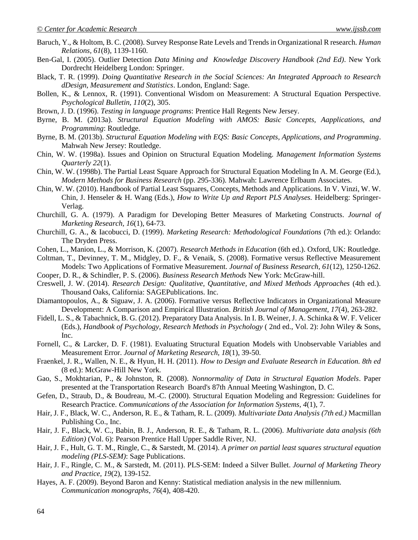- Baruch, Y., & Holtom, B. C. (2008). Survey Response Rate Levels and Trends in Organizational R research. *Human Relations, 61*(8), 1139-1160.
- <span id="page-9-11"></span>Ben-Gal, I. (2005). Outlier Detection *Data Mining and Knowledge Discovery Handbook (2nd Ed)*. New York Dordrecht Heidelberg London: Springer.
- <span id="page-9-15"></span>Black, T. R. (1999). *Doing Quantitative Research in the Social Sciences: An Integrated Approach to Research dDesign, Measurement and Statistics*. London, England: Sage.
- <span id="page-9-21"></span>Bollen, K., & Lennox, R. (1991). Conventional Wisdom on Measurement: A Structural Equation Perspective. *Psychological Bulletin, 110*(2), 305.
- <span id="page-9-4"></span>Brown, J. D. (1996). *Testing in language programs*: Prentice Hall Regents New Jersey.
- <span id="page-9-12"></span>Byrne, B. M. (2013a). *Structural Equation Modeling with AMOS: Basic Concepts, Aapplications, and Programming*: Routledge.
- <span id="page-9-20"></span>Byrne, B. M. (2013b). *Structural Equation Modeling with EQS: Basic Concepts, Applications, and Programming*. Mahwah New Jersey: Routledge.
- <span id="page-9-22"></span>Chin, W. W. (1998a). Issues and Opinion on Structural Equation Modeling. *Management Information Systems Quarterly 22*(1).
- <span id="page-9-23"></span>Chin, W. W. (1998b). The Partial Least Square Approach for Structural Equation Modeling In A. M. George (Ed.), *Modern Methods for Business Research* (pp. 295-336). Mahwah: Lawrence Erlbaum Associates.
- <span id="page-9-25"></span>Chin, W. W. (2010). Handbook of Partial Least Ssquares, Concepts, Methods and Applications. In V. Vinzi, W. W. Chin, J. Henseler & H. Wang (Eds.), *How to Write Up and Report PLS Analyses.* Heidelberg: Springer-Verlag.
- <span id="page-9-2"></span>Churchill, G. A. (1979). A Paradigm for Developing Better Measures of Marketing Constructs. *Journal of Marketing Research, 16*(1), 64-73.
- <span id="page-9-5"></span>Churchill, G. A., & Iacobucci, D. (1999). *Marketing Research: Methodological Foundations* (7th ed.): Orlando: The Dryden Press.
- <span id="page-9-3"></span>Cohen, L., Manion, L., & Morrison, K. (2007). *Research Methods in Education* (6th ed.). Oxford, UK: Routledge.
- <span id="page-9-18"></span>Coltman, T., Devinney, T. M., Midgley, D. F., & Venaik, S. (2008). Formative versus Reflective Measurement Models: Two Applications of Formative Measurement. *Journal of Business Research, 61*(12), 1250-1262.
- <span id="page-9-9"></span>Cooper, D. R., & Schindler, P. S. (2006). *Business Research Methods* New York: McGraw-hill.
- <span id="page-9-0"></span>Creswell, J. W. (2014). *Research Design: Qualitative, Quantitative, and Mixed Methods Approaches* (4th ed.). Thousand Oaks, California: SAGEPublications. Inc.
- <span id="page-9-19"></span>Diamantopoulos, A., & Siguaw, J. A. (2006). Formative versus Reflective Indicators in Organizational Measure Development: A Comparison and Empirical Illustration. *British Journal of Management, 17*(4), 263-282.
- <span id="page-9-7"></span>Fidell, L. S., & Tabachnick, B. G. (2012). Preparatory Data Analysis. In I. B. Weiner, J. A. Schinka & W. F. Velicer (Eds.), *Handbook of Psychology, Research Methods in Psychology* ( 2nd ed., Vol. 2): John Wiley & Sons, Inc.
- <span id="page-9-17"></span>Fornell, C., & Larcker, D. F. (1981). Evaluating Structural Equation Models with Unobservable Variables and Measurement Error. *Journal of Marketing Research, 18*(1), 39-50.
- <span id="page-9-16"></span>Fraenkel, J. R., Wallen, N. E., & Hyun, H. H. (2011). *How to Design and Evaluate Research in Education. 8th ed* (8 ed.): McGraw-Hill New York.
- <span id="page-9-10"></span>Gao, S., Mokhtarian, P., & Johnston, R. (2008). *Nonnormality of Data in Structural Equation Models*. Paper presented at the Transportation Research Board's 87th Annual Meeting Washington, D. C.
- <span id="page-9-13"></span>Gefen, D., Straub, D., & Boudreau, M.-C. (2000). Structural Equation Modeling and Regression: Guidelines for Research Practice. *Communications of the Association for Information Systems, 4*(1), 7.
- <span id="page-9-6"></span>Hair, J. F., Black, W. C., Anderson, R. E., & Tatham, R. L. (2009). *Multivariate Data Analysis (7th ed.)* Macmillan Publishing Co., Inc.
- <span id="page-9-1"></span>Hair, J. F., Black, W. C., Babin, B. J., Anderson, R. E., & Tatham, R. L. (2006). *Multivariate data analysis (6th Edition)* (Vol. 6): Pearson Prentice Hall Upper Saddle River, NJ.
- <span id="page-9-8"></span>Hair, J. F., Hult, G. T. M., Ringle, C., & Sarstedt, M. (2014). *A primer on partial least squares structural equation modeling (PLS-SEM)*: Sage Publications.
- <span id="page-9-14"></span>Hair, J. F., Ringle, C. M., & Sarstedt, M. (2011). PLS-SEM: Indeed a Silver Bullet. *Journal of Marketing Theory and Practice, 19*(2), 139-152.
- <span id="page-9-26"></span><span id="page-9-24"></span>Hayes, A. F. (2009). Beyond Baron and Kenny: Statistical mediation analysis in the new millennium. *Communication monographs, 76*(4), 408-420.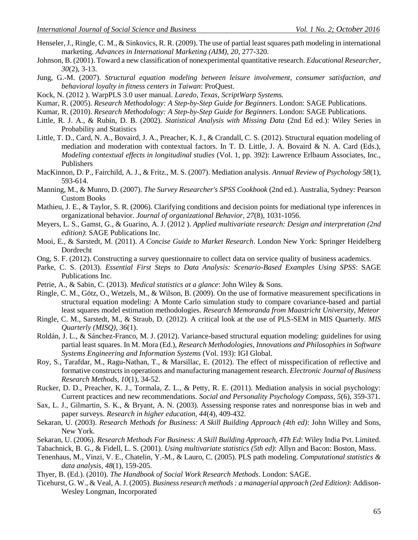- Henseler, J., Ringle, C. M., & Sinkovics, R. R. (2009). The use of partial least squares path modeling in international marketing. *Advances in International Marketing (AIM), 20*, 277-320.
- <span id="page-10-0"></span>Johnson, B. (2001). Toward a new classification of nonexperimental quantitative research. *Educational Researcher, 30*(2), 3-13.
- <span id="page-10-18"></span>Jung, G.-M. (2007). *Structural equation modeling between leisure involvement, consumer satisfaction, and behavioral loyalty in fitness centers in Taiwan*: ProQuest.
- <span id="page-10-23"></span>Kock, N. (2012 ). WarpPLS 3.0 user manual. *Laredo, Texas, ScriptWarp Systems.*
- <span id="page-10-3"></span>Kumar, R. (2005). *Research Methodology: A Step-by-Step Guide for Beginners*. London: SAGE Publications.
- <span id="page-10-2"></span>Kumar, R. (2010). *Research Methodology: A Step-by-Step Guide for Beginners*. London: SAGE Publications.
- <span id="page-10-11"></span>Little, R. J. A., & Rubin, D. B. (2002). *Statistical Analysis with Missing Data* (2nd Ed ed.): Wiley Series in Probability and Statistics
- <span id="page-10-24"></span>Little, T. D., Card, N. A., Bovaird, J. A., Preacher, K. J., & Crandall, C. S. (2012). Structural equation modeling of mediation and moderation with contextual factors. In T. D. Little, J. A. Bovaird & N. A. Card (Eds.), *Modeling contextual effects in longitudinal studies* (Vol. 1, pp. 392): Lawrence Erlbaum Associates, Inc., Publishers
- <span id="page-10-26"></span>MacKinnon, D. P., Fairchild, A. J., & Fritz., M. S. (2007). Mediation analysis. *Annual Review of Psychology 58*(1), 593-614.
- <span id="page-10-9"></span>Manning, M., & Munro, D. (2007). *The Survey Researcher's SPSS Cookbook* (2nd ed.). Australia, Sydney: Pearson Custom Books
- <span id="page-10-27"></span>Mathieu, J. E., & Taylor, S. R. (2006). Clarifying conditions and decision points for mediational type inferences in organizational behavior. *Journal of organizational Behavior, 27*(8), 1031-1056.
- <span id="page-10-13"></span>Meyers, L. S., Gamst, G., & Guarino, A. J. (2012 ). *Applied multivariate research: Design and interpretation (2nd edition)*: SAGE Publications Inc.
- <span id="page-10-12"></span>Mooi, E., & Sarstedt, M. (2011). *A Concise Guide to Market Research*. London New York: Springer Heidelberg Dordrecht
- <span id="page-10-5"></span>Ong, S. F. (2012). Constructing a survey questionnaire to collect data on service quality of business academics.
- <span id="page-10-16"></span>Parke, C. S. (2013). *Essential First Steps to Data Analysis: Scenario-Based Examples Using SPSS*: SAGE Publications Inc.
- <span id="page-10-15"></span>Petrie, A., & Sabin, C. (2013). *Medical statistics at a glance*: John Wiley & Sons.
- <span id="page-10-20"></span>Ringle, C. M., Götz, O., Wetzels, M., & Wilson, B. (2009). On the use of formative measurement specifications in structural equation modeling: A Monte Carlo simulation study to compare covariance-based and partial least squares model estimation methodologies. *Research Memoranda from Maastricht University, Meteor*
- <span id="page-10-22"></span>Ringle, C. M., Sarstedt, M., & Straub, D. (2012). A critical look at the use of PLS-SEM in MIS Quarterly. *MIS Quarterly (MISQ), 36*(1).
- <span id="page-10-17"></span>Roldán, J. L., & Sánchez-Franco, M. J. (2012). Variance-based structural equation modeling: guidelines for using partial least squares. In M. Mora (Ed.), *Research Methodologies, Innovations and Philosophies in Software Systems Engineering and Information Systems* (Vol. 193): IGI Global.
- <span id="page-10-19"></span>Roy, S., Tarafdar, M., Ragu-Nathan, T., & Marsillac, E. (2012). The effect of misspecification of reflective and formative constructs in operations and manufacturing management research. *Electronic Journal of Business Research Methods, 10*(1), 34-52.
- <span id="page-10-25"></span>Rucker, D. D., Preacher, K. J., Tormala, Z. L., & Petty, R. E. (2011). Mediation analysis in social psychology: Current practices and new recommendations. *Social and Personality Psychology Compass, 5*(6), 359-371.
- <span id="page-10-14"></span>Sax, L. J., Gilmartin, S. K., & Bryant, A. N. (2003). Assessing response rates and nonresponse bias in web and paper surveys. *Research in higher education, 44*(4), 409-432.
- <span id="page-10-7"></span>Sekaran, U. (2003). *Research Methods for Business: A Skill Building Approach (4th ed)*: John Willey and Sons, New York.
- <span id="page-10-1"></span>Sekaran, U. (2006). *Research Methods For Business: A Skill Building Approach, 4Th Ed*: Wiley India Pvt. Limited.
- <span id="page-10-10"></span>Tabachnick, B. G., & Fidell, L. S. (2001). *Using multivariate statistics (5th ed)*: Allyn and Bacon: Boston, Mass.
- <span id="page-10-21"></span>Tenenhaus, M., Vinzi, V. E., Chatelin, Y.-M., & Lauro, C. (2005). PLS path modeling. *Computational statistics & data analysis, 48*(1), 159-205.
- <span id="page-10-4"></span>Thyer, B. (Ed.). (2010). *The Handbook of Social Work Research Methods*. London: SAGE.
- <span id="page-10-8"></span><span id="page-10-6"></span>Ticehurst, G. W., & Veal, A. J. (2005). *Business research methods : a managerial approach (2ed Edition)*: Addison-Wesley Longman, Incorporated